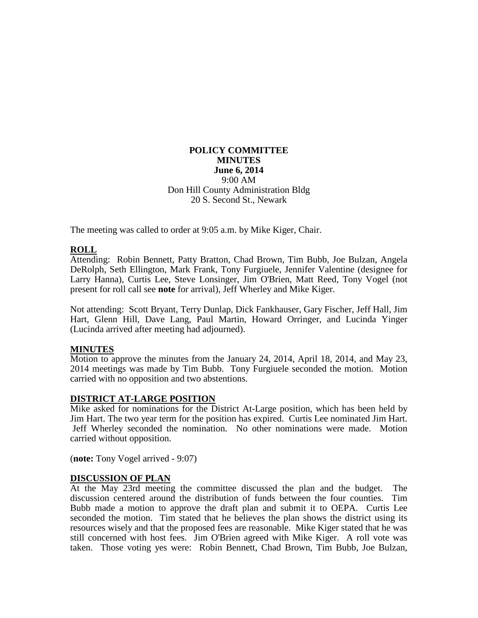#### **POLICY COMMITTEE MINUTES June 6, 2014** 9:00 AM Don Hill County Administration Bldg 20 S. Second St., Newark

The meeting was called to order at 9:05 a.m. by Mike Kiger, Chair.

# **ROLL**

Attending: Robin Bennett, Patty Bratton, Chad Brown, Tim Bubb, Joe Bulzan, Angela DeRolph, Seth Ellington, Mark Frank, Tony Furgiuele, Jennifer Valentine (designee for Larry Hanna), Curtis Lee, Steve Lonsinger, Jim O'Brien, Matt Reed, Tony Vogel (not present for roll call see **note** for arrival), Jeff Wherley and Mike Kiger.

Not attending: Scott Bryant, Terry Dunlap, Dick Fankhauser, Gary Fischer, Jeff Hall, Jim Hart, Glenn Hill, Dave Lang, Paul Martin, Howard Orringer, and Lucinda Yinger (Lucinda arrived after meeting had adjourned).

## **MINUTES**

Motion to approve the minutes from the January 24, 2014, April 18, 2014, and May 23, 2014 meetings was made by Tim Bubb. Tony Furgiuele seconded the motion. Motion carried with no opposition and two abstentions.

## **DISTRICT AT-LARGE POSITION**

Mike asked for nominations for the District At-Large position, which has been held by Jim Hart. The two year term for the position has expired. Curtis Lee nominated Jim Hart. Jeff Wherley seconded the nomination. No other nominations were made. Motion carried without opposition.

(**note:** Tony Vogel arrived - 9:07)

#### **DISCUSSION OF PLAN**

At the May 23rd meeting the committee discussed the plan and the budget. The discussion centered around the distribution of funds between the four counties. Tim Bubb made a motion to approve the draft plan and submit it to OEPA. Curtis Lee seconded the motion. Tim stated that he believes the plan shows the district using its resources wisely and that the proposed fees are reasonable. Mike Kiger stated that he was still concerned with host fees. Jim O'Brien agreed with Mike Kiger. A roll vote was taken. Those voting yes were: Robin Bennett, Chad Brown, Tim Bubb, Joe Bulzan,